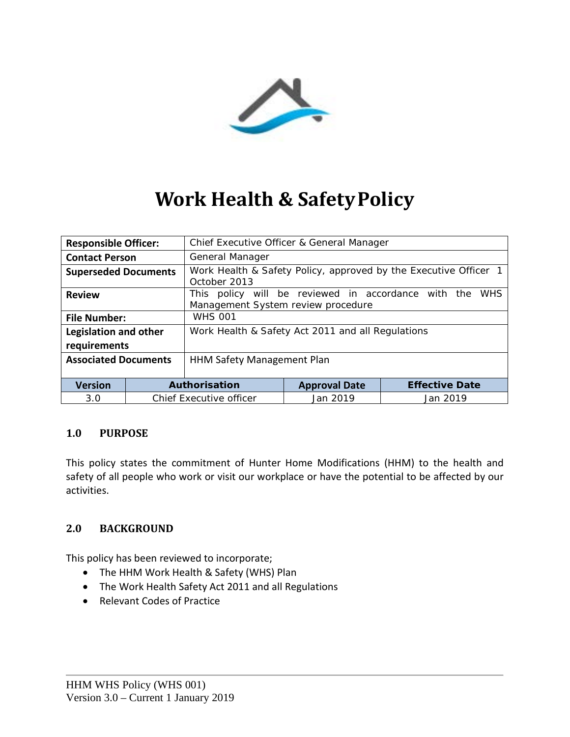

# **Work Health & SafetyPolicy**

| <b>Responsible Officer:</b>           |                         | Chief Executive Officer & General Manager                                                                  |                      |  |  |                       |  |  |
|---------------------------------------|-------------------------|------------------------------------------------------------------------------------------------------------|----------------------|--|--|-----------------------|--|--|
| <b>Contact Person</b>                 |                         | General Manager                                                                                            |                      |  |  |                       |  |  |
| <b>Superseded Documents</b>           |                         | Work Health & Safety Policy, approved by the Executive Officer 1<br>October 2013                           |                      |  |  |                       |  |  |
| <b>Review</b>                         |                         | will be reviewed in accordance with the<br><b>WHS</b><br>This policy<br>Management System review procedure |                      |  |  |                       |  |  |
| <b>File Number:</b>                   |                         | <b>WHS 001</b>                                                                                             |                      |  |  |                       |  |  |
| Legislation and other<br>requirements |                         | Work Health & Safety Act 2011 and all Regulations                                                          |                      |  |  |                       |  |  |
| <b>Associated Documents</b>           |                         | <b>HHM Safety Management Plan</b>                                                                          |                      |  |  |                       |  |  |
| <b>Version</b>                        | Authorisation           |                                                                                                            | <b>Approval Date</b> |  |  | <b>Effective Date</b> |  |  |
| 3.0                                   | Chief Executive officer |                                                                                                            | Jan 2019             |  |  | Jan 2019              |  |  |

# **1.0 PURPOSE**

This policy states the commitment of Hunter Home Modifications (HHM) to the health and safety of all people who work or visit our workplace or have the potential to be affected by our activities.

#### **2.0 BACKGROUND**

This policy has been reviewed to incorporate;

- The HHM Work Health & Safety (WHS) Plan
- The Work Health Safety Act 2011 and all Regulations
- Relevant Codes of Practice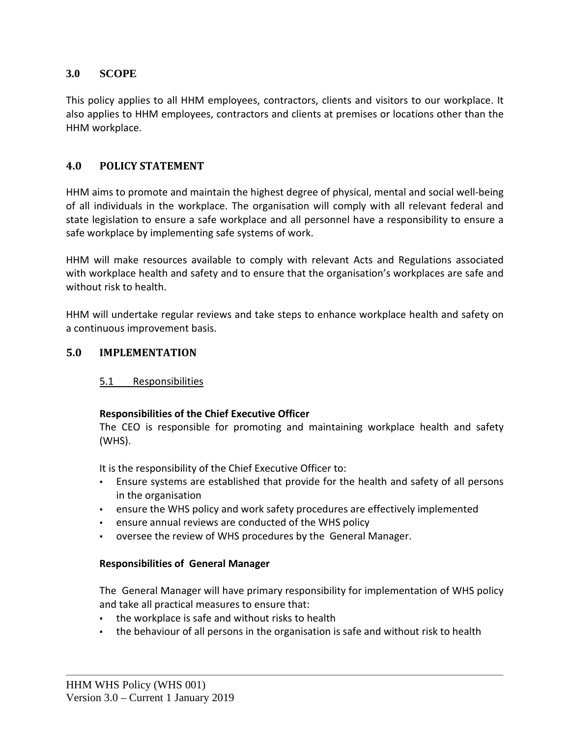# **3.0 SCOPE**

This policy applies to all HHM employees, contractors, clients and visitors to our workplace. It also applies to HHM employees, contractors and clients at premises or locations other than the HHM workplace.

## **4.0 POLICY STATEMENT**

HHM aims to promote and maintain the highest degree of physical, mental and social well-being of all individuals in the workplace. The organisation will comply with all relevant federal and state legislation to ensure a safe workplace and all personnel have a responsibility to ensure a safe workplace by implementing safe systems of work.

HHM will make resources available to comply with relevant Acts and Regulations associated with workplace health and safety and to ensure that the organisation's workplaces are safe and without risk to health.

HHM will undertake regular reviews and take steps to enhance workplace health and safety on a continuous improvement basis.

#### **5.0 IMPLEMENTATION**

#### 5.1 Responsibilities

#### **Responsibilities of the Chief Executive Officer**

The CEO is responsible for promoting and maintaining workplace health and safety (WHS).

It is the responsibility of the Chief Executive Officer to:

- Ensure systems are established that provide for the health and safety of all persons in the organisation
- ensure the WHS policy and work safety procedures are effectively implemented
- ensure annual reviews are conducted of the WHS policy
- oversee the review of WHS procedures by the General Manager.

#### **Responsibilities of General Manager**

The General Manager will have primary responsibility for implementation of WHS policy and take all practical measures to ensure that:

- the workplace is safe and without risks to health
- the behaviour of all persons in the organisation is safe and without risk to health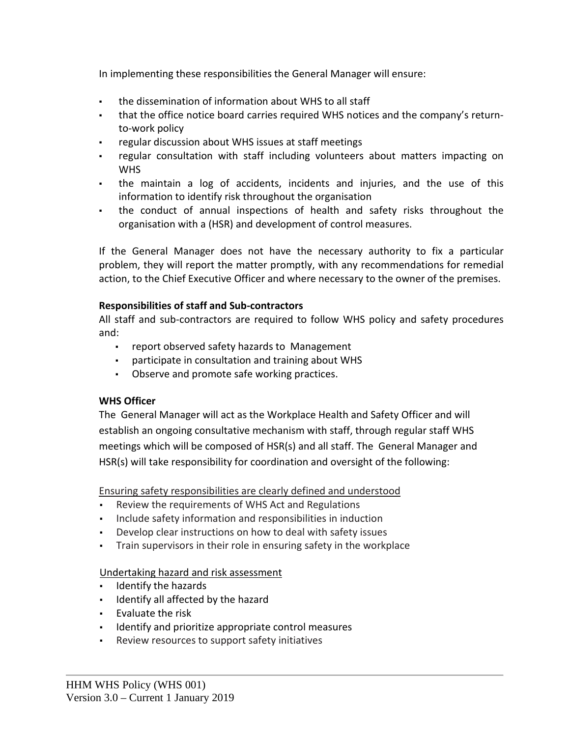In implementing these responsibilities the General Manager will ensure:

- the dissemination of information about WHS to all staff
- that the office notice board carries required WHS notices and the company's returnto-work policy
- regular discussion about WHS issues at staff meetings
- regular consultation with staff including volunteers about matters impacting on WHS
- the maintain a log of accidents, incidents and injuries, and the use of this information to identify risk throughout the organisation
- the conduct of annual inspections of health and safety risks throughout the organisation with a (HSR) and development of control measures.

If the General Manager does not have the necessary authority to fix a particular problem, they will report the matter promptly, with any recommendations for remedial action, to the Chief Executive Officer and where necessary to the owner of the premises.

# **Responsibilities of staff and Sub-contractors**

All staff and sub-contractors are required to follow WHS policy and safety procedures and:

- report observed safety hazards to Management
- participate in consultation and training about WHS
- Observe and promote safe working practices.

# **WHS Officer**

The General Manager will act as the Workplace Health and Safety Officer and will establish an ongoing consultative mechanism with staff, through regular staff WHS meetings which will be composed of HSR(s) and all staff. The General Manager and HSR(s) will take responsibility for coordination and oversight of the following:

Ensuring safety responsibilities are clearly defined and understood

- Review the requirements of WHS Act and Regulations
- Include safety information and responsibilities in induction
- Develop clear instructions on how to deal with safety issues
- Train supervisors in their role in ensuring safety in the workplace

# Undertaking hazard and risk assessment

- Identify the hazards
- Identify all affected by the hazard
- Evaluate the risk
- Identify and prioritize appropriate control measures
- Review resources to support safety initiatives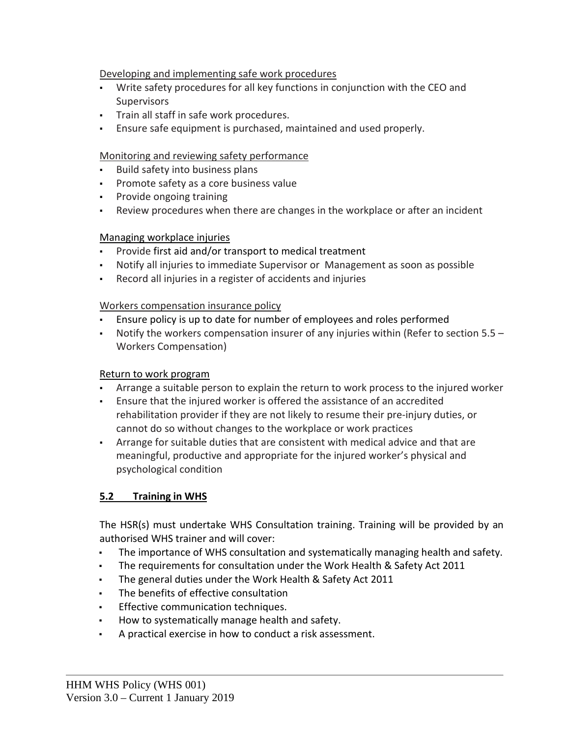#### Developing and implementing safe work procedures

- Write safety procedures for all key functions in conjunction with the CEO and **Supervisors**
- Train all staff in safe work procedures.
- Ensure safe equipment is purchased, maintained and used properly.

# Monitoring and reviewing safety performance

- Build safety into business plans
- Promote safety as a core business value
- Provide ongoing training
- Review procedures when there are changes in the workplace or after an incident

# Managing workplace injuries

- Provide first aid and/or transport to medical treatment
- Notify all injuries to immediate Supervisor or Management as soon as possible
- Record all injuries in a register of accidents and injuries

# Workers compensation insurance policy

- Ensure policy is up to date for number of employees and roles performed
- **•** Notify the workers compensation insurer of any injuries within (Refer to section  $5.5 -$ Workers Compensation)

# Return to work program

- Arrange a suitable person to explain the return to work process to the injured worker
- Ensure that the injured worker is offered the assistance of an accredited rehabilitation provider if they are not likely to resume their pre-injury duties, or cannot do so without changes to the workplace or work practices
- Arrange for suitable duties that are consistent with medical advice and that are meaningful, productive and appropriate for the injured worker's physical and psychological condition

# **5.2 Training in WHS**

The HSR(s) must undertake WHS Consultation training. Training will be provided by an authorised WHS trainer and will cover:

- The importance of WHS consultation and systematically managing health and safety.
- The requirements for consultation under the Work Health & Safety Act 2011
- The general duties under the Work Health & Safety Act 2011
- The benefits of effective consultation
- Effective communication techniques.
- How to systematically manage health and safety.
- A practical exercise in how to conduct a risk assessment.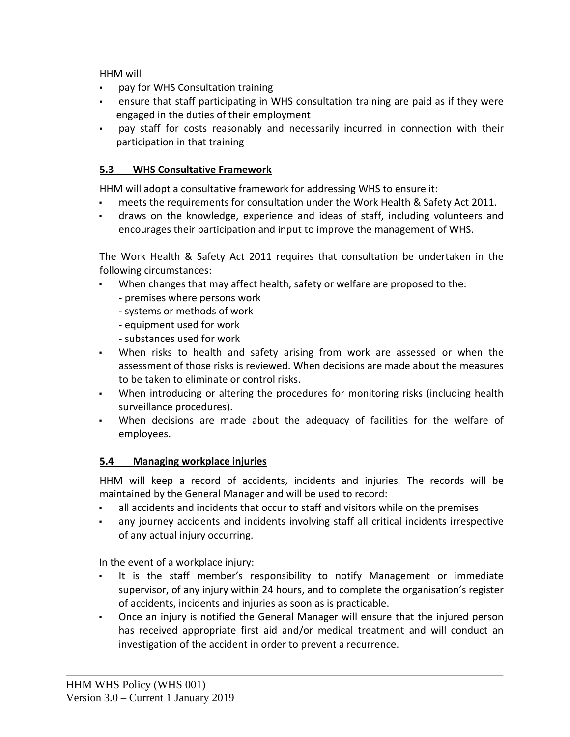HHM will

- pay for WHS Consultation training
- ensure that staff participating in WHS consultation training are paid as if they were engaged in the duties of their employment
- pay staff for costs reasonably and necessarily incurred in connection with their participation in that training

# **5.3 WHS Consultative Framework**

HHM will adopt a consultative framework for addressing WHS to ensure it:

- meets the requirements for consultation under the Work Health & Safety Act 2011.
- draws on the knowledge, experience and ideas of staff, including volunteers and encourages their participation and input to improve the management of WHS.

The Work Health & Safety Act 2011 requires that consultation be undertaken in the following circumstances:

- When changes that may affect health, safety or welfare are proposed to the:
	- premises where persons work
	- systems or methods of work
	- equipment used for work
	- substances used for work
- When risks to health and safety arising from work are assessed or when the assessment of those risks is reviewed. When decisions are made about the measures to be taken to eliminate or control risks.
- When introducing or altering the procedures for monitoring risks (including health surveillance procedures).
- When decisions are made about the adequacy of facilities for the welfare of employees.

# **5.4 Managing workplace injuries**

HHM will keep a record of accidents, incidents and injuries*.* The records will be maintained by the General Manager and will be used to record:

- all accidents and incidents that occur to staff and visitors while on the premises
- any journey accidents and incidents involving staff all critical incidents irrespective of any actual injury occurring.

In the event of a workplace injury:

- It is the staff member's responsibility to notify Management or immediate supervisor, of any injury within 24 hours, and to complete the organisation's register of accidents, incidents and injuries as soon as is practicable.
- Once an injury is notified the General Manager will ensure that the injured person has received appropriate first aid and/or medical treatment and will conduct an investigation of the accident in order to prevent a recurrence.